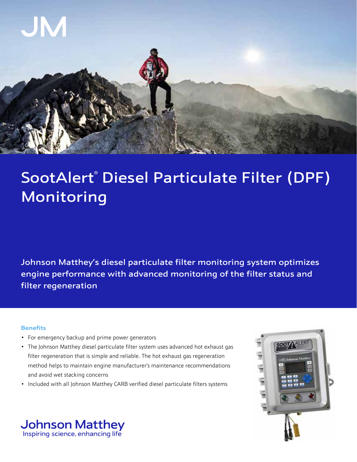

# SootAlert® Diesel Particulate Filter (DPF) Monitoring

Johnson Matthey's diesel particulate filter monitoring system optimizes engine performance with advanced monitoring of the filter status and filter regeneration

## **Benefits**

- For emergency backup and prime power generators
- The Johnson Matthey diesel particulate filter system uses advanced hot exhaust gas filter regeneration that is simple and reliable. The hot exhaust gas regeneration method helps to maintain engine manufacturer's maintenance recommendations and avoid wet stacking concerns
- Included with all Johnson Matthey CARB verified diesel particulate filters systems



**Johnson Matthey** Inspiring science, enhancing life